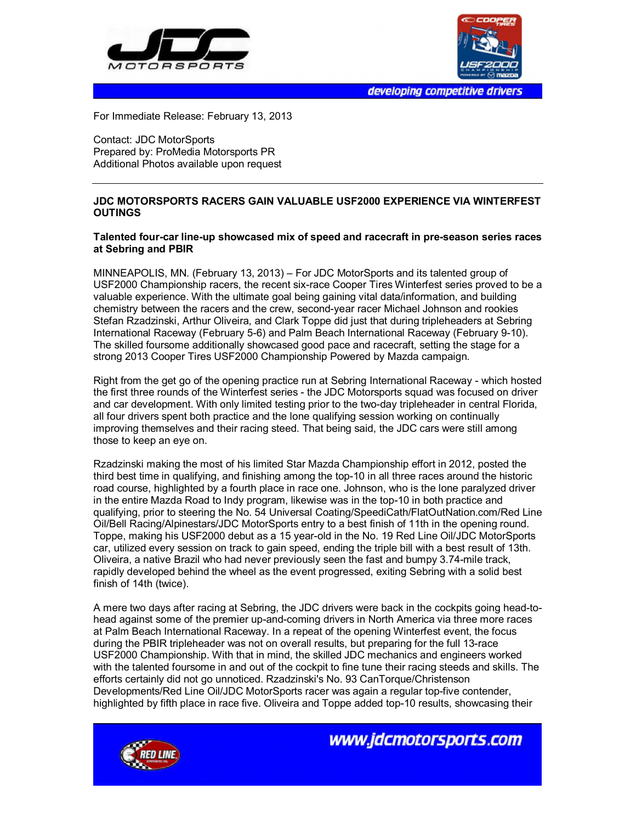



developing competitive drivers

For Immediate Release: February 13, 2013

Contact: JDC MotorSports Prepared by: ProMedia Motorsports PR Additional Photos available upon request

## **JDC MOTORSPORTS RACERS GAIN VALUABLE USF2000 EXPERIENCE VIA WINTERFEST OUTINGS**

## **Talented four-car line-up showcased mix of speed and racecraft in pre-season series races at Sebring and PBIR**

MINNEAPOLIS, MN. (February 13, 2013) – For JDC MotorSports and its talented group of USF2000 Championship racers, the recent six-race Cooper Tires Winterfest series proved to be a valuable experience. With the ultimate goal being gaining vital data/information, and building chemistry between the racers and the crew, second-year racer Michael Johnson and rookies Stefan Rzadzinski, Arthur Oliveira, and Clark Toppe did just that during tripleheaders at Sebring International Raceway (February 5-6) and Palm Beach International Raceway (February 9-10). The skilled foursome additionally showcased good pace and racecraft, setting the stage for a strong 2013 Cooper Tires USF2000 Championship Powered by Mazda campaign.

Right from the get go of the opening practice run at Sebring International Raceway - which hosted the first three rounds of the Winterfest series - the JDC Motorsports squad was focused on driver and car development. With only limited testing prior to the two-day tripleheader in central Florida, all four drivers spent both practice and the lone qualifying session working on continually improving themselves and their racing steed. That being said, the JDC cars were still among those to keep an eye on.

Rzadzinski making the most of his limited Star Mazda Championship effort in 2012, posted the third best time in qualifying, and finishing among the top-10 in all three races around the historic road course, highlighted by a fourth place in race one. Johnson, who is the lone paralyzed driver in the entire Mazda Road to Indy program, likewise was in the top-10 in both practice and qualifying, prior to steering the No. 54 Universal Coating/SpeediCath/FlatOutNation.com/Red Line Oil/Bell Racing/Alpinestars/JDC MotorSports entry to a best finish of 11th in the opening round. Toppe, making his USF2000 debut as a 15 year-old in the No. 19 Red Line Oil/JDC MotorSports car, utilized every session on track to gain speed, ending the triple bill with a best result of 13th. Oliveira, a native Brazil who had never previously seen the fast and bumpy 3.74-mile track, rapidly developed behind the wheel as the event progressed, exiting Sebring with a solid best finish of 14th (twice).

A mere two days after racing at Sebring, the JDC drivers were back in the cockpits going head-tohead against some of the premier up-and-coming drivers in North America via three more races at Palm Beach International Raceway. In a repeat of the opening Winterfest event, the focus during the PBIR tripleheader was not on overall results, but preparing for the full 13-race USF2000 Championship. With that in mind, the skilled JDC mechanics and engineers worked with the talented foursome in and out of the cockpit to fine tune their racing steeds and skills. The efforts certainly did not go unnoticed. Rzadzinski's No. 93 CanTorque/Christenson Developments/Red Line Oil/JDC MotorSports racer was again a regular top-five contender, highlighted by fifth place in race five. Oliveira and Toppe added top-10 results, showcasing their



www.jdcmotorsports.com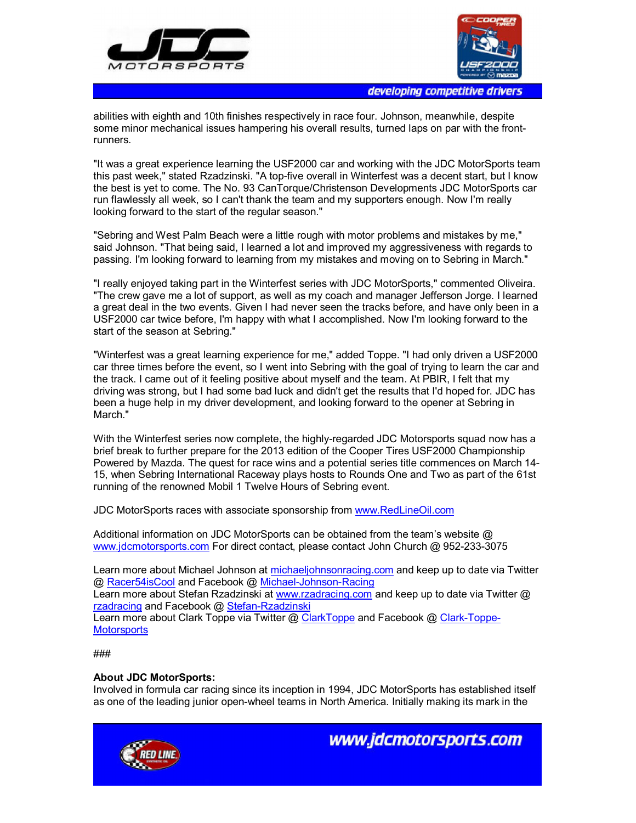



developing competitive drivers

abilities with eighth and 10th finishes respectively in race four. Johnson, meanwhile, despite some minor mechanical issues hampering his overall results, turned laps on par with the frontrunners.

"It was a great experience learning the USF2000 car and working with the JDC MotorSports team this past week," stated Rzadzinski. "A top-five overall in Winterfest was a decent start, but I know the best is yet to come. The No. 93 CanTorque/Christenson Developments JDC MotorSports car run flawlessly all week, so I can't thank the team and my supporters enough. Now I'm really looking forward to the start of the regular season."

"Sebring and West Palm Beach were a little rough with motor problems and mistakes by me," said Johnson. "That being said, I learned a lot and improved my aggressiveness with regards to passing. I'm looking forward to learning from my mistakes and moving on to Sebring in March."

"I really enjoyed taking part in the Winterfest series with JDC MotorSports," commented Oliveira. "The crew gave me a lot of support, as well as my coach and manager Jefferson Jorge. I learned a great deal in the two events. Given I had never seen the tracks before, and have only been in a USF2000 car twice before, I'm happy with what I accomplished. Now I'm looking forward to the start of the season at Sebring."

"Winterfest was a great learning experience for me," added Toppe. "I had only driven a USF2000 car three times before the event, so I went into Sebring with the goal of trying to learn the car and the track. I came out of it feeling positive about myself and the team. At PBIR, I felt that my driving was strong, but I had some bad luck and didn't get the results that I'd hoped for. JDC has been a huge help in my driver development, and looking forward to the opener at Sebring in March."

With the Winterfest series now complete, the highly-regarded JDC Motorsports squad now has a brief break to further prepare for the 2013 edition of the Cooper Tires USF2000 Championship Powered by Mazda. The quest for race wins and a potential series title commences on March 14- 15, when Sebring International Raceway plays hosts to Rounds One and Two as part of the 61st running of the renowned Mobil 1 Twelve Hours of Sebring event.

JDC MotorSports races with associate sponsorship from www.RedLineOil.com

Additional information on JDC MotorSports can be obtained from the team's website @ www.jdcmotorsports.com For direct contact, please contact John Church @ 952-233-3075

Learn more about Michael Johnson at michaeljohnsonracing.com and keep up to date via Twitter @ Racer54isCool and Facebook @ Michael-Johnson-Racing

Learn more about Stefan Rzadzinski at www.rzadracing.com and keep up to date via Twitter @ rzadracing and Facebook @ Stefan-Rzadzinski

Learn more about Clark Toppe via Twitter @ ClarkToppe and Facebook @ Clark-Toppe-**Motorsports** 

## ###

## **About JDC MotorSports:**

Involved in formula car racing since its inception in 1994, JDC MotorSports has established itself as one of the leading junior open-wheel teams in North America. Initially making its mark in the



www.jdcmotorsports.com